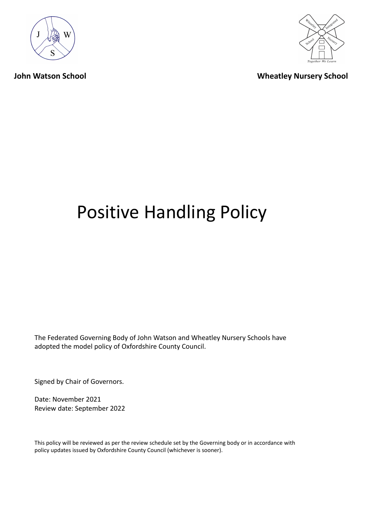



**John Watson School Wheatley Nursery School**

# Positive Handling Policy

The Federated Governing Body of John Watson and Wheatley Nursery Schools have adopted the model policy of Oxfordshire County Council.

Signed by Chair of Governors.

Date: November 2021 Review date: September 2022

This policy will be reviewed as per the review schedule set by the Governing body or in accordance with policy updates issued by Oxfordshire County Council (whichever is sooner).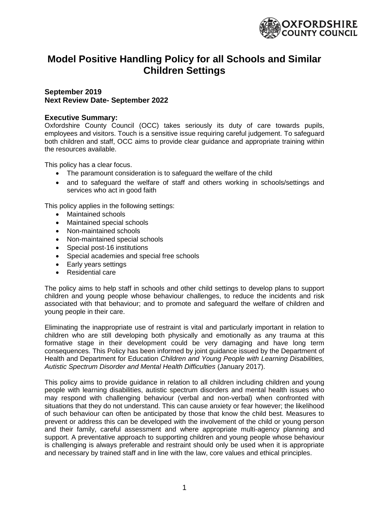

# **Model Positive Handling Policy for all Schools and Similar Children Settings**

# **September 2019 Next Review Date- September 2022**

#### **Executive Summary:**

Oxfordshire County Council (OCC) takes seriously its duty of care towards pupils, employees and visitors. Touch is a sensitive issue requiring careful judgement. To safeguard both children and staff, OCC aims to provide clear guidance and appropriate training within the resources available.

This policy has a clear focus.

- The paramount consideration is to safeguard the welfare of the child
- and to safequard the welfare of staff and others working in schools/settings and services who act in good faith

This policy applies in the following settings:

- Maintained schools
- Maintained special schools
- Non-maintained schools
- Non-maintained special schools
- Special post-16 institutions
- Special academies and special free schools
- Early years settings
- Residential care

The policy aims to help staff in schools and other child settings to develop plans to support children and young people whose behaviour challenges, to reduce the incidents and risk associated with that behaviour; and to promote and safeguard the welfare of children and young people in their care.

Eliminating the inappropriate use of restraint is vital and particularly important in relation to children who are still developing both physically and emotionally as any trauma at this formative stage in their development could be very damaging and have long term consequences. This Policy has been informed by joint guidance issued by the Department of Health and Department for Education *Children and Young People with Learning Disabilities, Autistic Spectrum Disorder and Mental Health Difficulties* (January 2017).

This policy aims to provide guidance in relation to all children including children and young people with learning disabilities, autistic spectrum disorders and mental health issues who may respond with challenging behaviour (verbal and non-verbal) when confronted with situations that they do not understand. This can cause anxiety or fear however; the likelihood of such behaviour can often be anticipated by those that know the child best. Measures to prevent or address this can be developed with the involvement of the child or young person and their family, careful assessment and where appropriate multi-agency planning and support. A preventative approach to supporting children and young people whose behaviour is challenging is always preferable and restraint should only be used when it is appropriate and necessary by trained staff and in line with the law, core values and ethical principles.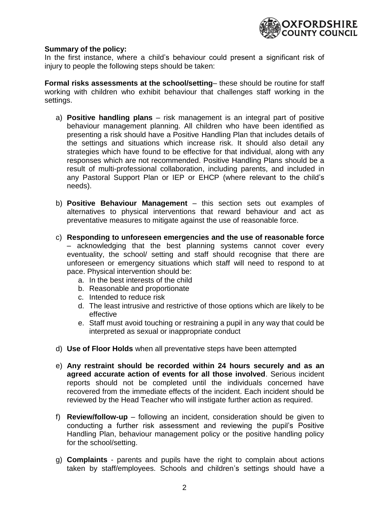

#### **Summary of the policy:**

In the first instance, where a child's behaviour could present a significant risk of injury to people the following steps should be taken:

**Formal risks assessments at the school/setting**– these should be routine for staff working with children who exhibit behaviour that challenges staff working in the settings.

- a) **Positive handling plans** risk management is an integral part of positive behaviour management planning. All children who have been identified as presenting a risk should have a Positive Handling Plan that includes details of the settings and situations which increase risk. It should also detail any strategies which have found to be effective for that individual, along with any responses which are not recommended. Positive Handling Plans should be a result of multi-professional collaboration, including parents, and included in any Pastoral Support Plan or IEP or EHCP (where relevant to the child's needs).
- b) **Positive Behaviour Management** this section sets out examples of alternatives to physical interventions that reward behaviour and act as preventative measures to mitigate against the use of reasonable force.
- c) **Responding to unforeseen emergencies and the use of reasonable force** – acknowledging that the best planning systems cannot cover every eventuality, the school/ setting and staff should recognise that there are unforeseen or emergency situations which staff will need to respond to at pace. Physical intervention should be:
	- a. In the best interests of the child
	- b. Reasonable and proportionate
	- c. Intended to reduce risk
	- d. The least intrusive and restrictive of those options which are likely to be effective
	- e. Staff must avoid touching or restraining a pupil in any way that could be interpreted as sexual or inappropriate conduct
- d) **Use of Floor Holds** when all preventative steps have been attempted
- e) **Any restraint should be recorded within 24 hours securely and as an agreed accurate action of events for all those involved**. Serious incident reports should not be completed until the individuals concerned have recovered from the immediate effects of the incident. Each incident should be reviewed by the Head Teacher who will instigate further action as required.
- f) **Review/follow-up** following an incident, consideration should be given to conducting a further risk assessment and reviewing the pupil's Positive Handling Plan, behaviour management policy or the positive handling policy for the school/setting.
- g) **Complaints**  parents and pupils have the right to complain about actions taken by staff/employees. Schools and children's settings should have a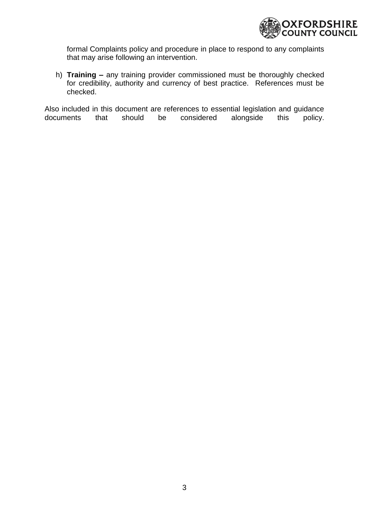

formal Complaints policy and procedure in place to respond to any complaints that may arise following an intervention.

h) **Training –** any training provider commissioned must be thoroughly checked for credibility, authority and currency of best practice. References must be checked.

Also included in this document are references to essential legislation and guidance documents that should be considered alongside this policy.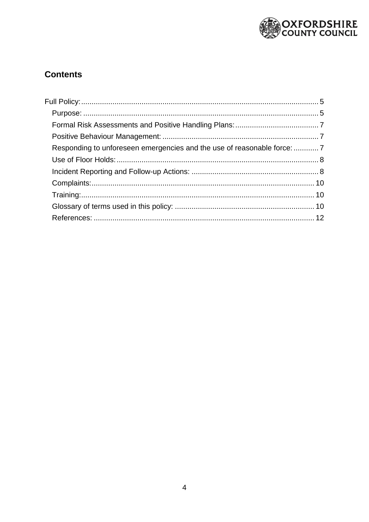

# **Contents**

| Responding to unforeseen emergencies and the use of reasonable force:  7 |  |
|--------------------------------------------------------------------------|--|
|                                                                          |  |
|                                                                          |  |
|                                                                          |  |
|                                                                          |  |
|                                                                          |  |
|                                                                          |  |
|                                                                          |  |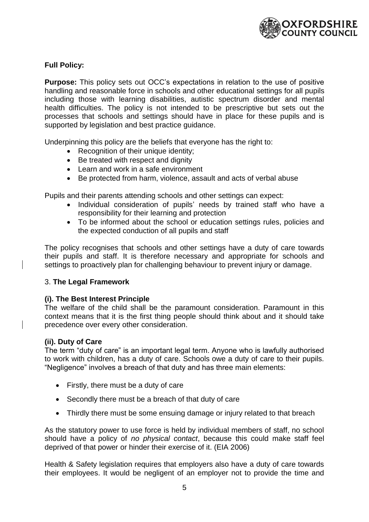

# <span id="page-5-0"></span>**Full Policy:**

<span id="page-5-1"></span>**Purpose:** This policy sets out OCC's expectations in relation to the use of positive handling and reasonable force in schools and other educational settings for all pupils including those with learning disabilities, autistic spectrum disorder and mental health difficulties. The policy is not intended to be prescriptive but sets out the processes that schools and settings should have in place for these pupils and is supported by legislation and best practice guidance.

Underpinning this policy are the beliefs that everyone has the right to:

- Recognition of their unique identity;
- Be treated with respect and dignity
- Learn and work in a safe environment
- Be protected from harm, violence, assault and acts of verbal abuse

Pupils and their parents attending schools and other settings can expect:

- Individual consideration of pupils' needs by trained staff who have a responsibility for their learning and protection
- To be informed about the school or education settings rules, policies and the expected conduction of all pupils and staff

The policy recognises that schools and other settings have a duty of care towards their pupils and staff. It is therefore necessary and appropriate for schools and settings to proactively plan for challenging behaviour to prevent injury or damage.

# 3. **The Legal Framework**

# **(i). The Best Interest Principle**

The welfare of the child shall be the paramount consideration. Paramount in this context means that it is the first thing people should think about and it should take precedence over every other consideration.

# **(ii). Duty of Care**

The term "duty of care" is an important legal term. Anyone who is lawfully authorised to work with children, has a duty of care. Schools owe a duty of care to their pupils. "Negligence" involves a breach of that duty and has three main elements:

- Firstly, there must be a duty of care
- Secondly there must be a breach of that duty of care
- Thirdly there must be some ensuing damage or injury related to that breach

As the statutory power to use force is held by individual members of staff, no school should have a policy of *no physical contact*, because this could make staff feel deprived of that power or hinder their exercise of it. (EIA 2006)

Health & Safety legislation requires that employers also have a duty of care towards their employees. It would be negligent of an employer not to provide the time and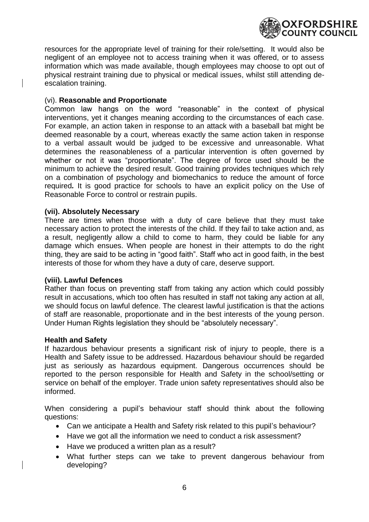

resources for the appropriate level of training for their role/setting. It would also be negligent of an employee not to access training when it was offered, or to assess information which was made available, though employees may choose to opt out of physical restraint training due to physical or medical issues, whilst still attending deescalation training.

# (vi). **Reasonable and Proportionate**

Common law hangs on the word "reasonable" in the context of physical interventions, yet it changes meaning according to the circumstances of each case. For example, an action taken in response to an attack with a baseball bat might be deemed reasonable by a court, whereas exactly the same action taken in response to a verbal assault would be judged to be excessive and unreasonable. What determines the reasonableness of a particular intervention is often governed by whether or not it was "proportionate". The degree of force used should be the minimum to achieve the desired result. Good training provides techniques which rely on a combination of psychology and biomechanics to reduce the amount of force required*.* It is good practice for schools to have an explicit policy on the Use of Reasonable Force to control or restrain pupils.

#### **(vii). Absolutely Necessary**

There are times when those with a duty of care believe that they must take necessary action to protect the interests of the child. If they fail to take action and, as a result, negligently allow a child to come to harm, they could be liable for any damage which ensues. When people are honest in their attempts to do the right thing, they are said to be acting in "good faith". Staff who act in good faith, in the best interests of those for whom they have a duty of care, deserve support.

# **(viii). Lawful Defences**

Rather than focus on preventing staff from taking any action which could possibly result in accusations, which too often has resulted in staff not taking any action at all, we should focus on lawful defence. The clearest lawful justification is that the actions of staff are reasonable, proportionate and in the best interests of the young person. Under Human Rights legislation they should be "absolutely necessary".

#### **Health and Safety**

If hazardous behaviour presents a significant risk of injury to people, there is a Health and Safety issue to be addressed. Hazardous behaviour should be regarded just as seriously as hazardous equipment. Dangerous occurrences should be reported to the person responsible for Health and Safety in the school/setting or service on behalf of the employer. Trade union safety representatives should also be informed.

When considering a pupil's behaviour staff should think about the following questions:

- Can we anticipate a Health and Safety risk related to this pupil's behaviour?
- Have we got all the information we need to conduct a risk assessment?
- Have we produced a written plan as a result?
- What further steps can we take to prevent dangerous behaviour from developing?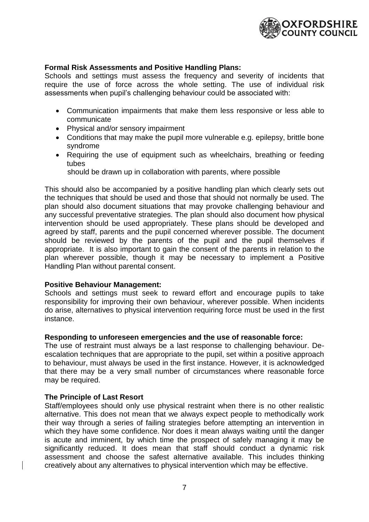

# <span id="page-7-0"></span>**Formal Risk Assessments and Positive Handling Plans:**

Schools and settings must assess the frequency and severity of incidents that require the use of force across the whole setting. The use of individual risk assessments when pupil's challenging behaviour could be associated with:

- Communication impairments that make them less responsive or less able to communicate
- Physical and/or sensory impairment
- Conditions that may make the pupil more vulnerable e.g. epilepsy, brittle bone syndrome
- Requiring the use of equipment such as wheelchairs, breathing or feeding tubes

should be drawn up in collaboration with parents, where possible

This should also be accompanied by a positive handling plan which clearly sets out the techniques that should be used and those that should not normally be used. The plan should also document situations that may provoke challenging behaviour and any successful preventative strategies. The plan should also document how physical intervention should be used appropriately. These plans should be developed and agreed by staff, parents and the pupil concerned wherever possible. The document should be reviewed by the parents of the pupil and the pupil themselves if appropriate. It is also important to gain the consent of the parents in relation to the plan wherever possible, though it may be necessary to implement a Positive Handling Plan without parental consent.

#### <span id="page-7-1"></span>**Positive Behaviour Management:**

Schools and settings must seek to reward effort and encourage pupils to take responsibility for improving their own behaviour, wherever possible. When incidents do arise, alternatives to physical intervention requiring force must be used in the first instance.

#### <span id="page-7-2"></span>**Responding to unforeseen emergencies and the use of reasonable force:**

The use of restraint must always be a last response to challenging behaviour. Deescalation techniques that are appropriate to the pupil, set within a positive approach to behaviour, must always be used in the first instance. However, it is acknowledged that there may be a very small number of circumstances where reasonable force may be required.

#### **The Principle of Last Resort**

Staff/employees should only use physical restraint when there is no other realistic alternative. This does not mean that we always expect people to methodically work their way through a series of failing strategies before attempting an intervention in which they have some confidence. Nor does it mean always waiting until the danger is acute and imminent, by which time the prospect of safely managing it may be significantly reduced. It does mean that staff should conduct a dynamic risk assessment and choose the safest alternative available. This includes thinking creatively about any alternatives to physical intervention which may be effective.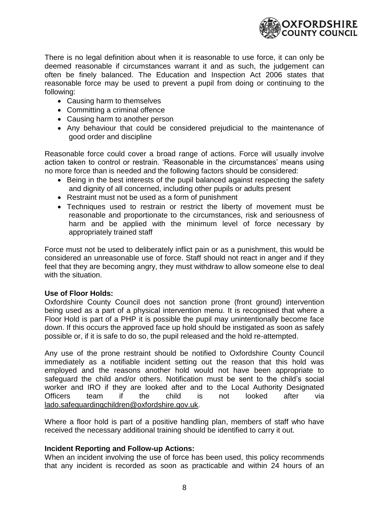

There is no legal definition about when it is reasonable to use force, it can only be deemed reasonable if circumstances warrant it and as such, the judgement can often be finely balanced. The Education and Inspection Act 2006 states that reasonable force may be used to prevent a pupil from doing or continuing to the following:

- Causing harm to themselves
- Committing a criminal offence
- Causing harm to another person
- Any behaviour that could be considered prejudicial to the maintenance of good order and discipline

Reasonable force could cover a broad range of actions. Force will usually involve action taken to control or restrain. 'Reasonable in the circumstances' means using no more force than is needed and the following factors should be considered:

- Being in the best interests of the pupil balanced against respecting the safety and dignity of all concerned, including other pupils or adults present
- Restraint must not be used as a form of punishment
- Techniques used to restrain or restrict the liberty of movement must be reasonable and proportionate to the circumstances, risk and seriousness of harm and be applied with the minimum level of force necessary by appropriately trained staff

Force must not be used to deliberately inflict pain or as a punishment, this would be considered an unreasonable use of force. Staff should not react in anger and if they feel that they are becoming angry, they must withdraw to allow someone else to deal with the situation.

#### <span id="page-8-0"></span>**Use of Floor Holds:**

Oxfordshire County Council does not sanction prone (front ground) intervention being used as a part of a physical intervention menu. It is recognised that where a Floor Hold is part of a PHP it is possible the pupil may unintentionally become face down. If this occurs the approved face up hold should be instigated as soon as safely possible or, if it is safe to do so, the pupil released and the hold re-attempted.

Any use of the prone restraint should be notified to Oxfordshire County Council immediately as a notifiable incident setting out the reason that this hold was employed and the reasons another hold would not have been appropriate to safeguard the child and/or others. Notification must be sent to the child's social worker and IRO if they are looked after and to the Local Authority Designated Officers team if the child is not looked after via [lado.safeguardingchildren@oxfordshire.gov.uk.](mailto:lado.safeguardingchildren@oxfordshire.gov.uk)

Where a floor hold is part of a positive handling plan, members of staff who have received the necessary additional training should be identified to carry it out.

#### <span id="page-8-1"></span>**Incident Reporting and Follow-up Actions:**

When an incident involving the use of force has been used, this policy recommends that any incident is recorded as soon as practicable and within 24 hours of an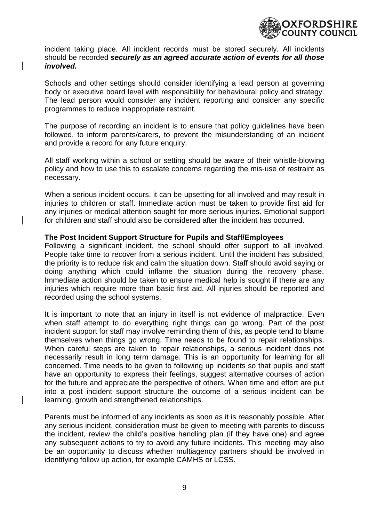

<span id="page-9-0"></span>incident taking place. All incident records must be stored securely. All incidents should be recorded *securely as an agreed accurate action of events for all those involved.*

Schools and other settings should consider identifying a lead person at governing body or executive board level with responsibility for behavioural policy and strategy. The lead person would consider any incident reporting and consider any specific programmes to reduce inappropriate restraint.

The purpose of recording an incident is to ensure that policy guidelines have been followed, to inform parents/carers, to prevent the misunderstanding of an incident and provide a record for any future enquiry.

All staff working within a school or setting should be aware of their whistle-blowing policy and how to use this to escalate concerns regarding the mis-use of restraint as necessary.

When a serious incident occurs, it can be upsetting for all involved and may result in injuries to children or staff. Immediate action must be taken to provide first aid for any injuries or medical attention sought for more serious injuries. Emotional support for children and staff should also be considered after the incident has occurred.

#### **The Post Incident Support Structure for Pupils and Staff/Employees**

Following a significant incident, the school should offer support to all involved. People take time to recover from a serious incident. Until the incident has subsided, the priority is to reduce risk and calm the situation down. Staff should avoid saying or doing anything which could inflame the situation during the recovery phase. Immediate action should be taken to ensure medical help is sought if there are any injuries which require more than basic first aid. All injuries should be reported and recorded using the school systems.

It is important to note that an injury in itself is not evidence of malpractice. Even when staff attempt to do everything right things can go wrong. Part of the post incident support for staff may involve reminding them of this, as people tend to blame themselves when things go wrong. Time needs to be found to repair relationships. When careful steps are taken to repair relationships, a serious incident does not necessarily result in long term damage. This is an opportunity for learning for all concerned. Time needs to be given to following up incidents so that pupils and staff have an opportunity to express their feelings, suggest alternative courses of action for the future and appreciate the perspective of others. When time and effort are put into a post incident support structure the outcome of a serious incident can be learning, growth and strengthened relationships.

Parents must be informed of any incidents as soon as it is reasonably possible. After any serious incident, consideration must be given to meeting with parents to discuss the incident, review the child's positive handling plan (if they have one) and agree any subsequent actions to try to avoid any future incidents. This meeting may also be an opportunity to discuss whether multiagency partners should be involved in identifying follow up action, for example CAMHS or LCSS.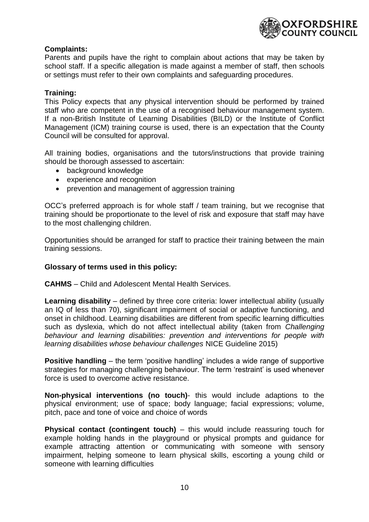

# **Complaints:**

Parents and pupils have the right to complain about actions that may be taken by school staff. If a specific allegation is made against a member of staff, then schools or settings must refer to their own complaints and safeguarding procedures.

# <span id="page-10-0"></span>**Training:**

This Policy expects that any physical intervention should be performed by trained staff who are competent in the use of a recognised behaviour management system. If a non-British Institute of Learning Disabilities (BILD) or the Institute of Conflict Management (ICM) training course is used, there is an expectation that the County Council will be consulted for approval.

All training bodies, organisations and the tutors/instructions that provide training should be thorough assessed to ascertain:

- background knowledge
- experience and recognition
- prevention and management of aggression training

OCC's preferred approach is for whole staff / team training, but we recognise that training should be proportionate to the level of risk and exposure that staff may have to the most challenging children.

Opportunities should be arranged for staff to practice their training between the main training sessions.

#### <span id="page-10-1"></span>**Glossary of terms used in this policy:**

**CAHMS** – Child and Adolescent Mental Health Services.

**Learning disability** – defined by three core criteria: lower intellectual ability (usually an IQ of less than 70), significant impairment of social or adaptive functioning, and onset in childhood. Learning disabilities are different from specific learning difficulties such as dyslexia, which do not affect intellectual ability (taken from *Challenging behaviour and learning disabilities: prevention and interventions for people with learning disabilities whose behaviour challenges* NICE Guideline 2015)

**Positive handling** – the term 'positive handling' includes a wide range of supportive strategies for managing challenging behaviour. The term 'restraint' is used whenever force is used to overcome active resistance.

**Non-physical interventions (no touch)**- this would include adaptions to the physical environment; use of space; body language; facial expressions; volume, pitch, pace and tone of voice and choice of words

**Physical contact (contingent touch)** – this would include reassuring touch for example holding hands in the playground or physical prompts and guidance for example attracting attention or communicating with someone with sensory impairment, helping someone to learn physical skills, escorting a young child or someone with learning difficulties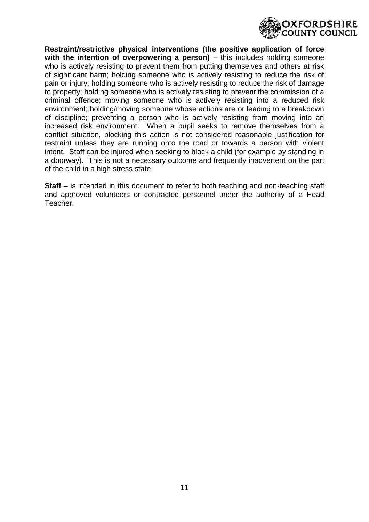

**Restraint/restrictive physical interventions (the positive application of force with the intention of overpowering a person)** – this includes holding someone who is actively resisting to prevent them from putting themselves and others at risk of significant harm; holding someone who is actively resisting to reduce the risk of pain or injury; holding someone who is actively resisting to reduce the risk of damage to property; holding someone who is actively resisting to prevent the commission of a criminal offence; moving someone who is actively resisting into a reduced risk environment; holding/moving someone whose actions are or leading to a breakdown of discipline; preventing a person who is actively resisting from moving into an increased risk environment. When a pupil seeks to remove themselves from a conflict situation, blocking this action is not considered reasonable justification for restraint unless they are running onto the road or towards a person with violent intent. Staff can be injured when seeking to block a child (for example by standing in a doorway). This is not a necessary outcome and frequently inadvertent on the part of the child in a high stress state.

**Staff** – is intended in this document to refer to both teaching and non-teaching staff and approved volunteers or contracted personnel under the authority of a Head Teacher.